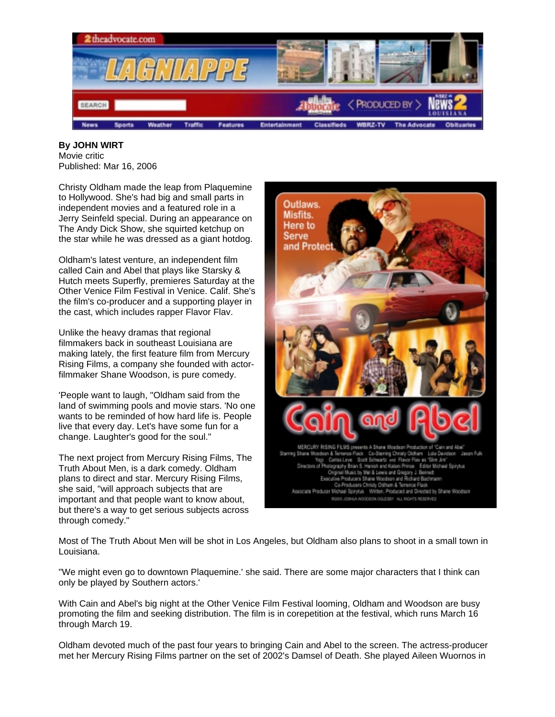

**By JOHN WIRT**  Movie critic Published: Mar 16, 2006

Christy Oldham made the leap from Plaquemine to Hollywood. She's had big and small parts in independent movies and a featured role in a Jerry Seinfeld special. During an appearance on The Andy Dick Show, she squirted ketchup on the star while he was dressed as a giant hotdog.

Oldham's latest venture, an independent film called Cain and Abel that plays like Starsky & Hutch meets Superfly, premieres Saturday at the Other Venice Film Festival in Venice. Calif. She's the film's co-producer and a supporting player in the cast, which includes rapper Flavor Flav.

Unlike the heavy dramas that regional filmmakers back in southeast Louisiana are making lately, the first feature film from Mercury Rising Films, a company she founded with actorfilmmaker Shane Woodson, is pure comedy.

'People want to laugh, "Oldham said from the land of swimming pools and movie stars. 'No one wants to be reminded of how hard life is. People live that every day. Let's have some fun for a change. Laughter's good for the soul."

The next project from Mercury Rising Films, The Truth About Men, is a dark comedy. Oldham plans to direct and star. Mercury Rising Films, she said, "will approach subjects that are important and that people want to know about, but there's a way to get serious subjects across through comedy."



Most of The Truth About Men will be shot in Los Angeles, but Oldham also plans to shoot in a small town in Louisiana.

"We might even go to downtown Plaquemine.' she said. There are some major characters that I think can only be played by Southern actors.'

With Cain and Abel's big night at the Other Venice Film Festival looming, Oldham and Woodson are busy promoting the film and seeking distribution. The film is in corepetition at the festival, which runs March 16 through March 19.

Oldham devoted much of the past four years to bringing Cain and Abel to the screen. The actress-producer met her Mercury Rising Films partner on the set of 2002's Damsel of Death. She played Aileen Wuornos in